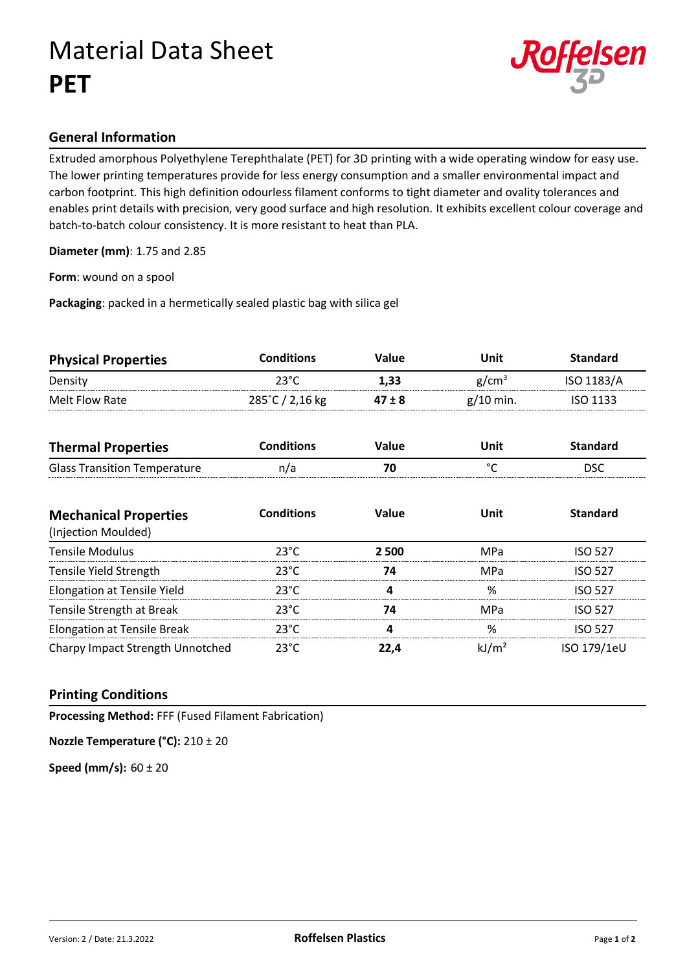## Material Data Sheet **PET**



### **General Information**

Extruded amorphous Polyethylene Terephthalate (PET) for 3D printing with a wide operating window for easy use. The lower printing temperatures provide for less energy consumption and a smaller environmental impact and carbon footprint. This high definition odourless filament conforms to tight diameter and ovality tolerances and enables print details with precision, very good surface and high resolution. It exhibits excellent colour coverage and batch-to-batch colour consistency. It is more resistant to heat than PLA.

**Diameter (mm)**: 1.75 and 2.85

**Form**: wound on a spool

**Packaging**: packed in a hermetically sealed plastic bag with silica gel

| <b>Physical Properties</b> | <b>Conditions</b>         | <b>Value</b> | Unit              | <b>Standard</b> |
|----------------------------|---------------------------|--------------|-------------------|-----------------|
| Density                    | 23°C                      | 1.33         | g/cm <sup>3</sup> | ISO 1183/A      |
| Melt Flow Rate             | $285^{\circ}$ C / 2,16 kg | $47 \pm 8$   | $g/10$ min.       | <b>ISO 1133</b> |

| <b>Thermal Properties</b>           | Conditions | Value | Unit | Standard |
|-------------------------------------|------------|-------|------|----------|
| <b>Glass Transition Temperature</b> | n/a        |       |      | DSC      |

| <b>Mechanical Properties</b><br>(Injection Moulded) | <b>Conditions</b> | Value | <b>Unit</b>       | <b>Standard</b> |
|-----------------------------------------------------|-------------------|-------|-------------------|-----------------|
| <b>Tensile Modulus</b>                              | $23^{\circ}$ C    | 2 500 | MPa               | <b>ISO 527</b>  |
| Tensile Yield Strength                              | $23^{\circ}$ C    | 74    | MPa               | <b>ISO 527</b>  |
| <b>Elongation at Tensile Yield</b>                  | $23^{\circ}$ C    | 4     | %                 | <b>ISO 527</b>  |
| Tensile Strength at Break                           | $23^{\circ}$ C    | 74    | MPa               | <b>ISO 527</b>  |
| <b>Elongation at Tensile Break</b>                  | $23^{\circ}$ C    | 4     | %                 | <b>ISO 527</b>  |
| Charpy Impact Strength Unnotched                    | $23^{\circ}$ C    | 22,4  | kJ/m <sup>2</sup> | ISO 179/1eU     |

### **Printing Conditions**

**Processing Method:** FFF (Fused Filament Fabrication)

**Nozzle Temperature (°C):** 210 ± 20

**Speed (mm/s):** 60 ± 20